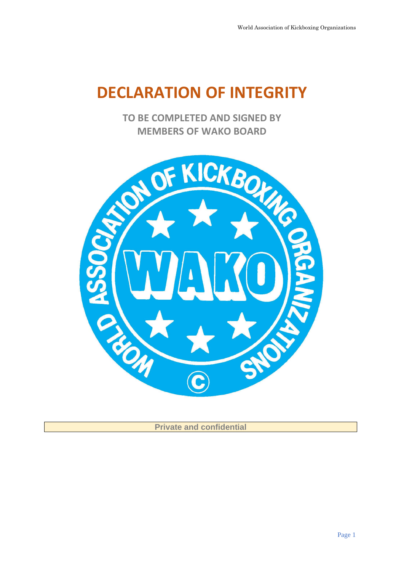# **DECLARATION OF INTEGRITY**

**TO BE COMPLETED AND SIGNED BY** 



**Private and confidential**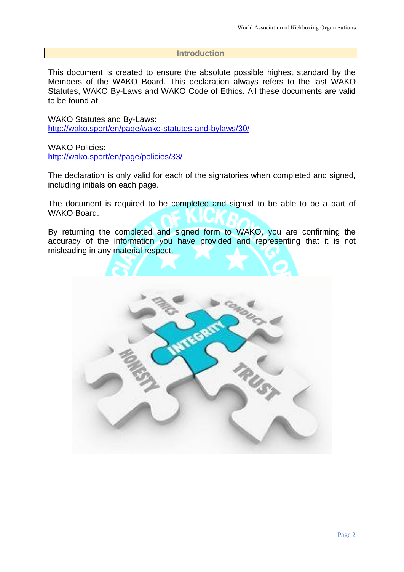## **Introduction**

This document is created to ensure the absolute possible highest standard by the Members of the WAKO Board. This declaration always refers to the last WAKO Statutes, WAKO By-Laws and WAKO Code of Ethics. All these documents are valid to be found at:

WAKO Statutes and By-Laws: <http://wako.sport/en/page/wako-statutes-and-bylaws/30/>

WAKO Policies: <http://wako.sport/en/page/policies/33/>

The declaration is only valid for each of the signatories when completed and signed, including initials on each page.

The document is required to be completed and signed to be able to be a part of WAKO Board.

By returning the completed and signed form to WAKO, you are confirming the accuracy of the information you have provided and representing that it is not misleading in any material respect.

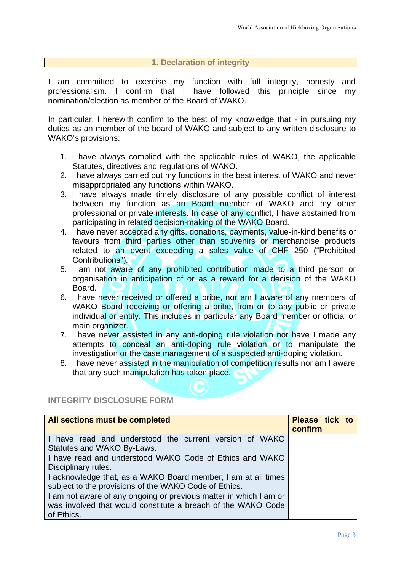## **1. Declaration of integrity**

I am committed to exercise my function with full integrity, honesty and professionalism. I confirm that I have followed this principle since my nomination/election as member of the Board of WAKO.

In particular, I herewith confirm to the best of my knowledge that - in pursuing my duties as an member of the board of WAKO and subject to any written disclosure to WAKO's provisions:

- 1. I have always complied with the applicable rules of WAKO, the applicable Statutes, directives and regulations of WAKO.
- 2. I have always carried out my functions in the best interest of WAKO and never misappropriated any functions within WAKO.
- 3. I have always made timely disclosure of any possible conflict of interest between my function as an Board member of WAKO and my other professional or private interests. In case of any conflict, I have abstained from participating in related decision-making of the WAKO Board.
- 4. I have never accepted any gifts, donations, payments, value-in-kind benefits or favours from third parties other than souvenirs or merchandise products related to an event exceeding a sales value of CHF 250 ("Prohibited Contributions").
- 5. I am not aware of any prohibited contribution made to a third person or organisation in anticipation of or as a reward for a decision of the WAKO Board.
- 6. I have never received or offered a bribe, nor am I aware of any members of WAKO Board receiving or offering a bribe, from or to any public or private individual or entity. This includes in particular any Board member or official or main organizer.
- 7. I have never assisted in any anti-doping rule violation nor have I made any attempts to conceal an anti-doping rule violation or to manipulate the investigation or the case management of a suspected anti-doping violation.
- 8. I have never assisted in the manipulation of competition results nor am I aware that any such manipulation has taken place.

# **INTEGRITY DISCLOSURE FORM**

| <b>All sections must be completed</b>                             | Please tick to<br>confirm |  |
|-------------------------------------------------------------------|---------------------------|--|
| I have read and understood the current version of WAKO            |                           |  |
| Statutes and WAKO By-Laws.                                        |                           |  |
| I have read and understood WAKO Code of Ethics and WAKO           |                           |  |
| Disciplinary rules.                                               |                           |  |
| I acknowledge that, as a WAKO Board member, I am at all times     |                           |  |
| subject to the provisions of the WAKO Code of Ethics.             |                           |  |
| I am not aware of any ongoing or previous matter in which I am or |                           |  |
| was involved that would constitute a breach of the WAKO Code      |                           |  |
| of Ethics.                                                        |                           |  |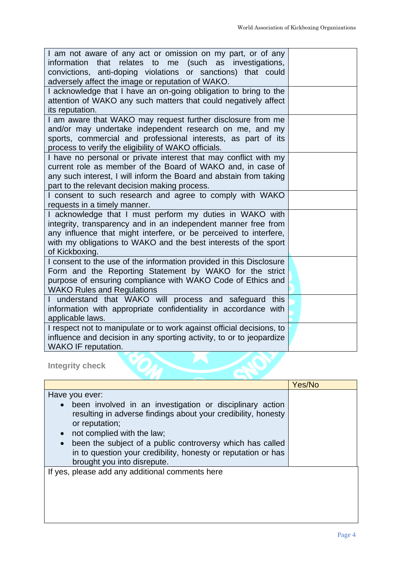| I am not aware of any act or omission on my part, or of any<br>that relates to me (such as investigations,<br>information<br>convictions, anti-doping violations or sanctions) that could<br>adversely affect the image or reputation of WAKO.                                       |  |
|--------------------------------------------------------------------------------------------------------------------------------------------------------------------------------------------------------------------------------------------------------------------------------------|--|
| I acknowledge that I have an on-going obligation to bring to the<br>attention of WAKO any such matters that could negatively affect<br>its reputation.                                                                                                                               |  |
| I am aware that WAKO may request further disclosure from me<br>and/or may undertake independent research on me, and my<br>sports, commercial and professional interests, as part of its<br>process to verify the eligibility of WAKO officials.                                      |  |
| I have no personal or private interest that may conflict with my<br>current role as member of the Board of WAKO and, in case of<br>any such interest, I will inform the Board and abstain from taking<br>part to the relevant decision making process.                               |  |
| I consent to such research and agree to comply with WAKO<br>requests in a timely manner.                                                                                                                                                                                             |  |
| I acknowledge that I must perform my duties in WAKO with<br>integrity, transparency and in an independent manner free from<br>any influence that might interfere, or be perceived to interfere,<br>with my obligations to WAKO and the best interests of the sport<br>of Kickboxing. |  |
| I consent to the use of the information provided in this Disclosure<br>Form and the Reporting Statement by WAKO for the strict<br>purpose of ensuring compliance with WAKO Code of Ethics and<br><b>WAKO Rules and Regulations</b>                                                   |  |
| understand that WAKO will process and safeguard this<br>information with appropriate confidentiality in accordance with<br>applicable laws.                                                                                                                                          |  |
| I respect not to manipulate or to work against official decisions, to<br>influence and decision in any sporting activity, to or to jeopardize<br><b>WAKO IF reputation.</b>                                                                                                          |  |
| <b>Integrity check</b>                                                                                                                                                                                                                                                               |  |

|                                                                                                                                                                                                                                                                                    | Yes/No |
|------------------------------------------------------------------------------------------------------------------------------------------------------------------------------------------------------------------------------------------------------------------------------------|--------|
| Have you ever:<br>been involved in an investigation or disciplinary action<br>$\bullet$<br>resulting in adverse findings about your credibility, honesty<br>or reputation;<br>not complied with the law;<br>$\bullet$<br>been the subject of a public controversy which has called |        |
| in to question your credibility, honesty or reputation or has<br>brought you into disrepute.                                                                                                                                                                                       |        |
| If yes, please add any additional comments here                                                                                                                                                                                                                                    |        |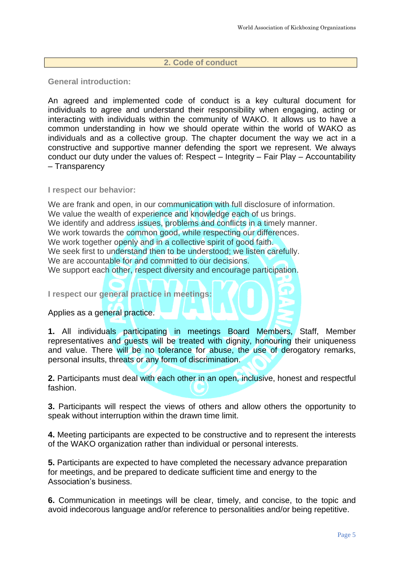### **2. Code of conduct**

**General introduction:**

An agreed and implemented code of conduct is a key cultural document for individuals to agree and understand their responsibility when engaging, acting or interacting with individuals within the community of WAKO. It allows us to have a common understanding in how we should operate within the world of WAKO as individuals and as a collective group. The chapter document the way we act in a constructive and supportive manner defending the sport we represent. We always conduct our duty under the values of: Respect – Integrity – Fair Play – Accountability – Transparency

**I respect our behavior:**

We are frank and open, in our communication with full disclosure of information. We value the wealth of experience and knowledge each of us brings. We identify and address issues, problems and conflicts in a timely manner. We work towards the common good, while respecting our differences. We work together openly and in a collective spirit of good faith. We seek first to understand then to be understood; we listen carefully. We are accountable for and committed to our decisions. We support each other, respect diversity and encourage participation.

**I respect our general practice in meetings:**

Applies as a general practice.

**1.** All individuals participating in meetings Board Members, Staff, Member representatives and guests will be treated with dignity, honouring their uniqueness and value. There will be no tolerance for abuse, the use of derogatory remarks, personal insults, threats or any form of discrimination.

**2.** Participants must deal with each other in an open, inclusive, honest and respectful fashion.

**3.** Participants will respect the views of others and allow others the opportunity to speak without interruption within the drawn time limit.

**4.** Meeting participants are expected to be constructive and to represent the interests of the WAKO organization rather than individual or personal interests.

**5.** Participants are expected to have completed the necessary advance preparation for meetings, and be prepared to dedicate sufficient time and energy to the Association's business.

**6.** Communication in meetings will be clear, timely, and concise, to the topic and avoid indecorous language and/or reference to personalities and/or being repetitive.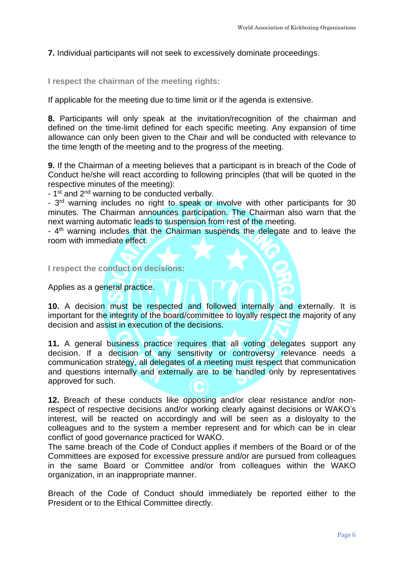**7.** Individual participants will not seek to excessively dominate proceedings.

**I respect the chairman of the meeting rights:**

If applicable for the meeting due to time limit or if the agenda is extensive.

**8.** Participants will only speak at the invitation/recognition of the chairman and defined on the time-limit defined for each specific meeting. Any expansion of time allowance can only been given to the Chair and will be conducted with relevance to the time length of the meeting and to the progress of the meeting.

**9.** If the Chairman of a meeting believes that a participant is in breach of the Code of Conduct he/she will react according to following principles (that will be quoted in the respective minutes of the meeting):

- 1<sup>st</sup> and 2<sup>nd</sup> warning to be conducted verbally.

- 3<sup>rd</sup> warning includes no right to speak or involve with other participants for 30 minutes. The Chairman announces participation. The Chairman also warn that the next warning automatic leads to suspension from rest of the meeting.

- 4<sup>th</sup> warning includes that the Chairman suspends the delegate and to leave the room with immediate effect.

**I respect the conduct on decisions:**

Applies as a general practice.

**10.** A decision must be respected and followed internally and externally. It is important for the integrity of the board/committee to loyally respect the majority of any decision and assist in execution of the decisions.

**11.** A general business practice requires that all voting delegates support any decision. If a decision of any sensitivity or controversy relevance needs a communication strategy, all delegates of a meeting must respect that communication and questions internally and externally are to be handled only by representatives approved for such.

**12.** Breach of these conducts like opposing and/or clear resistance and/or nonrespect of respective decisions and/or working clearly against decisions or WAKO's interest, will be reacted on accordingly and will be seen as a disloyalty to the colleagues and to the system a member represent and for which can be in clear conflict of good governance practiced for WAKO.

The same breach of the Code of Conduct applies if members of the Board or of the Committees are exposed for excessive pressure and/or are pursued from colleagues in the same Board or Committee and/or from colleagues within the WAKO organization, in an inappropriate manner.

Breach of the Code of Conduct should immediately be reported either to the President or to the Ethical Committee directly.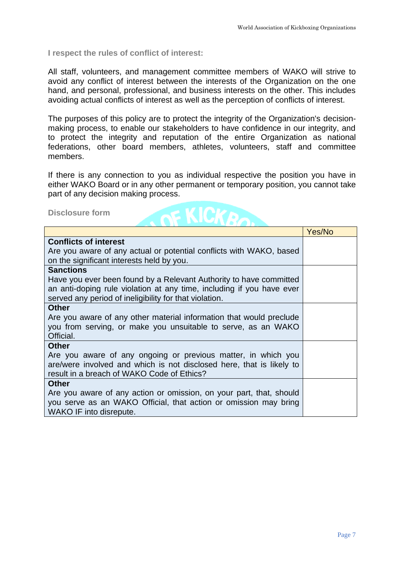#### **I respect the rules of conflict of interest:**

All staff, volunteers, and management committee members of WAKO will strive to avoid any conflict of interest between the interests of the Organization on the one hand, and personal, professional, and business interests on the other. This includes avoiding actual conflicts of interest as well as the perception of conflicts of interest.

The purposes of this policy are to protect the integrity of the Organization's decisionmaking process, to enable our stakeholders to have confidence in our integrity, and to protect the integrity and reputation of the entire Organization as national federations, other board members, athletes, volunteers, staff and committee members.

If there is any connection to you as individual respective the position you have in either WAKO Board or in any other permanent or temporary position, you cannot take part of any decision making process.

**Disclosure form**



|                                                                                                                                                                                                     | Yes/No |
|-----------------------------------------------------------------------------------------------------------------------------------------------------------------------------------------------------|--------|
| <b>Conflicts of interest</b><br>Are you aware of any actual or potential conflicts with WAKO, based<br>on the significant interests held by you.                                                    |        |
| <b>Sanctions</b><br>Have you ever been found by a Relevant Authority to have committed                                                                                                              |        |
| an anti-doping rule violation at any time, including if you have ever<br>served any period of ineligibility for that violation.                                                                     |        |
| <b>Other</b>                                                                                                                                                                                        |        |
| Are you aware of any other material information that would preclude                                                                                                                                 |        |
| you from serving, or make you unsuitable to serve, as an WAKO                                                                                                                                       |        |
| Official.                                                                                                                                                                                           |        |
| <b>Other</b><br>Are you aware of any ongoing or previous matter, in which you<br>are/were involved and which is not disclosed here, that is likely to<br>result in a breach of WAKO Code of Ethics? |        |
| <b>Other</b>                                                                                                                                                                                        |        |
| Are you aware of any action or omission, on your part, that, should<br>you serve as an WAKO Official, that action or omission may bring<br>WAKO IF into disrepute.                                  |        |